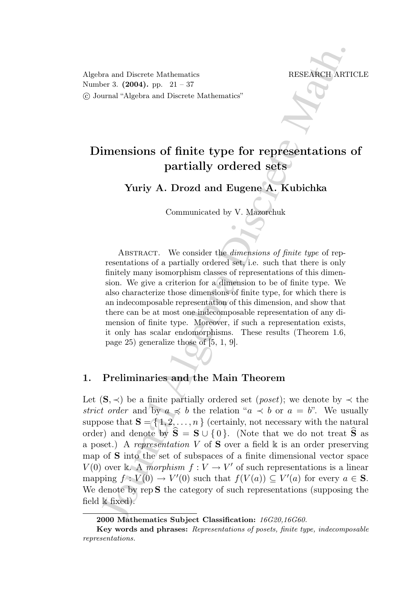Algebra and Discrete Mathematics RESEARCH ARTICLE Number 3.  $(2004)$ . pp.  $21 - 37$ c Journal "Algebra and Discrete Mathematics"

# Dimensions of finite type for representations of partially ordered sets

Yuriy A. Drozd and Eugene A. Kubichka

Communicated by V. Mazorchuk

ABSTRACT. We consider the *dimensions of finite type* of representations of a partially ordered set, i.e. such that there is only finitely many isomorphism classes of representations of this dimension. We give a criterion for a dimension to be of finite type. We also characterize those dimensions of finite type, for which there is an indecomposable representation of this dimension, and show that there can be at most one indecomposable representation of any dimension of finite type. Moreover, if such a representation exists, it only has scalar endomorphisms. These results (Theorem 1.6, page 25) generalize those of [5, 1, 9].

## 1. Preliminaries and the Main Theorem

For and Discrete Mathematics<br>
TRESEANCII ARTI<br>
INTERNATION THE STRACT. AT THE SERVICE AND INTERNATION CONDITIES INTO THE SURVEY AS DEVIDENT COMMUNITY A. Drownland Eugenco A. Kubichka Communicated by V. Maxwelluk Kommunica Let  $(S, \prec)$  be a finite partially ordered set (*poset*); we denote by  $\prec$  the strict order and by  $a \preccurlyeq b$  the relation " $a \preccurlyeq b$  or  $a = b$ ". We usually suppose that  $S = \{1, 2, ..., n\}$  (certainly, not necessary with the natural order) and denote by  $\hat{\mathbf{S}} = \mathbf{S} \cup \{0\}$ . (Note that we do not treat  $\hat{\mathbf{S}}$  as a poset.) A representation V of S over a field  $\Bbbk$  is an order preserving map of S into the set of subspaces of a finite dimensional vector space  $V(0)$  over k. A morphism  $f: V \to V'$  of such representations is a linear mapping  $f: V(0) \to V'(0)$  such that  $f(V(a)) \subseteq V'(a)$  for every  $a \in S$ . We denote by  $rep S$  the category of such representations (supposing the field  $\Bbbk$  fixed).

<sup>2000</sup> Mathematics Subject Classification: 16G20,16G60.

Key words and phrases: Representations of posets, finite type, indecomposable representations.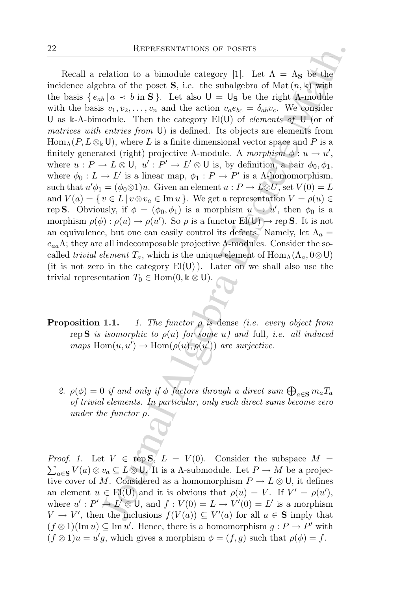REPRESENTATIONS OF POSETS<br>
celation to a bimodule category [1]. Let  $\Lambda = \Lambda_8$  be the<br>
brabra of the poset S, i.e. the subalgebra of Mat  $(n, k)$  with<br>
brabra of the poset S, i.e. the subalgebra of Mat  $(n, k)$ <br>  $k | a \prec b$  in S} Recall a relation to a bimodule category [1]. Let  $\Lambda = \Lambda_{\mathbf{S}}$  be the incidence algebra of the poset **S**, i.e. the subalgebra of Mat  $(n, k)$  with the basis  $\{e_{ab} | a \prec b \text{ in } S\}$ . Let also  $U = U_S$  be the right  $\Lambda$ -module with the basis  $v_1, v_2, \ldots, v_n$  and the action  $v_a e_{bc} = \delta_{ab} v_c$ . We consider U as k- $\Lambda$ -bimodule. Then the category El(U) of *elements of* U (or of matrices with entries from U) is defined. Its objects are elements from  $\text{Hom}_{\Lambda}(P, L \otimes_{\mathbb{k}} \mathsf{U})$ , where L is a finite dimensional vector space and P is a finitely generated (right) projective  $\Lambda$ -module. A morphism  $\phi: u \to u'$ , where  $u : P \to L \otimes \mathsf{U}$ ,  $u' : P' \to L' \otimes \mathsf{U}$  is, by definition, a pair  $\phi_0, \phi_1$ , where  $\phi_0: L \to L'$  is a linear map,  $\phi_1: P \to P'$  is a A-homomorphism, such that  $u'\phi_1 = (\phi_0 \otimes 1)u$ . Given an element  $u : P \to L \otimes U$ , set  $V(0) = L$ and  $V(a) = \{ v \in L \mid v \otimes v_a \in \text{Im } u \}.$  We get a representation  $V = \rho(u) \in$ rep S. Obviously, if  $\phi = (\phi_0, \phi_1)$  is a morphism  $u \to u'$ , then  $\phi_0$  is a morphism  $\rho(\phi) : \rho(u) \to \rho(u')$ . So  $\rho$  is a functor  $\text{EI}(U) \to \text{rep } S$ . It is not an equivalence, but one can easily control its defects. Namely, let  $\Lambda_a =$  $e_{aa}\Lambda$ ; they are all indecomposable projective  $\Lambda$ -modules. Consider the socalled *trivial element*  $T_a$ , which is the unique element of  $\text{Hom}_{\Lambda}(\Lambda_a, 0 \otimes \mathsf{U})$ (it is not zero in the category  $El(U)$ ). Later on we shall also use the trivial representation  $T_0 \in \text{Hom}(0, \mathbb{k} \otimes \mathsf{U}).$ 

- **Proposition 1.1.** 1. The functor  $\rho$  is dense (i.e. every object from rep S is isomorphic to  $\rho(u)$  for some u) and full, i.e. all induced maps  $\text{Hom}(u, u') \to \text{Hom}(\rho(u), \rho(u'))$  are surjective.
	- 2.  $\rho(\phi) = 0$  if and only if  $\phi$  factors through a direct sum  $\bigoplus_{a \in \mathbf{S}} m_a T_a$ of trivial elements. In particular, only such direct sums become zero under the functor  $\rho$ .

 $\sum_{a\in S} V(a)\otimes v_a \subseteq L\otimes U$ . It is a A-submodule. Let  $P\to M$  be a projec-*Proof.* 1. Let  $V \in \text{rep } S, L = V(0)$ . Consider the subspace  $M =$ tive cover of M. Considered as a homomorphism  $P \to L \otimes U$ , it defines an element  $u \in El(U)$  and it is obvious that  $\rho(u) = V$ . If  $V' = \rho(u')$ , where  $u': P' \rightarrow L' \otimes U$ , and  $f: V(0) = L \rightarrow V'(0) = L'$  is a morphism  $V \to V'$ , then the inclusions  $f(V(a)) \subseteq V'(a)$  for all  $a \in S$  imply that  $(f \otimes 1)(\text{Im } u) \subseteq \text{Im } u'$ . Hence, there is a homomorphism  $g : P \to P'$  with  $(f \otimes 1)u = u'g$ , which gives a morphism  $\phi = (f, g)$  such that  $\rho(\phi) = f$ .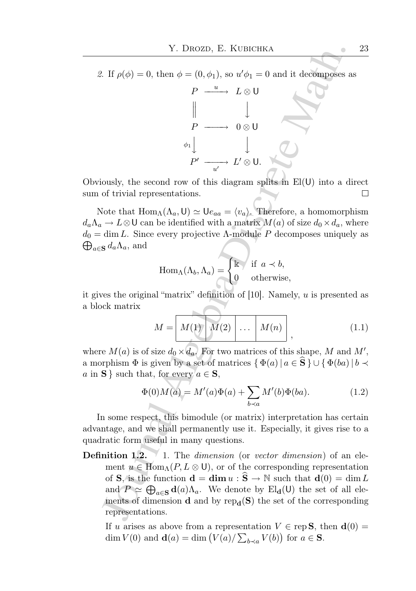2. If  $\rho(\phi) = 0$ , then  $\phi = (0, \phi_1)$ , so  $u' \phi_1 = 0$  and it decomposes as



Obviously, the second row of this diagram splits in El(U) into a direct sum of trivial representations.  $\Box$ 

Note that  $\text{Hom}_{\Lambda}(\Lambda_a, \mathsf{U}) \simeq \mathsf{U} e_{aa} = \langle v_a \rangle$ . Therefore, a homomorphism  $d_a\Lambda_a \to L\otimes U$  can be identified with a matrix  $M(a)$  of size  $d_0 \times d_a$ , where  $\bigoplus_{a \in \mathbf{S}} d_a \Lambda_a$ , and  $d_0 = \dim L$ . Since every projective  $\Lambda$ -module P decomposes uniquely as

$$
\operatorname{Hom}_{\Lambda}(\Lambda_b, \Lambda_a) = \begin{cases} \mathbb{k} & \text{if } a \prec b, \\ 0 & \text{otherwise,} \end{cases}
$$

it gives the original "matrix" definition of  $[10]$ . Namely, u is presented as a block matrix

$$
M = \boxed{M(1) \quad M(2) \quad \dots \quad M(n)}
$$
\n<sup>(1.1)</sup>

where  $M(a)$  is of size  $d_0 \times d_a$ . For two matrices of this shape, M and M', a morphism  $\Phi$  is given by a set of matrices  $\{\Phi(a) | a \in \hat{\mathbf{S}}\} \cup \{\Phi(ba) | b \prec$ a in S } such that, for every  $a \in S$ ,

$$
\Phi(0)M(a) = M'(a)\Phi(a) + \sum_{b \prec a} M'(b)\Phi(ba).
$$
 (1.2)

In some respect, this bimodule (or matrix) interpretation has certain advantage, and we shall permanently use it. Especially, it gives rise to a quadratic form useful in many questions.

Y. DROZD, E. KUBICHKA<br>
2. If  $\rho(\phi) = 0$ , then  $\phi = (0, \phi_1)$ , so  $u' \phi_1 = 0$  and it decomposes a<br>  $P \longrightarrow L \otimes U$ <br>  $\downarrow$ <br>  $P' \longrightarrow U \otimes U$ <br>  $\downarrow$ <br>  $\downarrow$ <br>  $\downarrow$ <br>  $\downarrow$ <br>  $\downarrow$ <br>  $\downarrow$ <br>  $\downarrow$ <br>
(iously, the second row of this diagram spl **Definition 1.2.** 1. The *dimension* (or *vector dimension*) of an element  $u \in \text{Hom}_{\Lambda}(P, L \otimes U)$ , or of the corresponding representation of **S**, is the function  $\mathbf{d} = \dim u : \mathbf{S} \to \mathbb{N}$  such that  $\mathbf{d}(0) = \dim L$ and  $P \simeq \bigoplus_{a \in S} d(a)\Lambda_a$ . We denote by  $El_{d}(U)$  the set of all elements of dimension **d** and by  $rep_d(S)$  the set of the corresponding representations.

If u arises as above from a representation  $V \in \text{rep } S$ , then  $d(0) =$ dim  $V(0)$  and  $\mathbf{d}(a) = \dim (V(a)/\sum_{b \prec a} V(b))$  for  $a \in \mathbf{S}$ .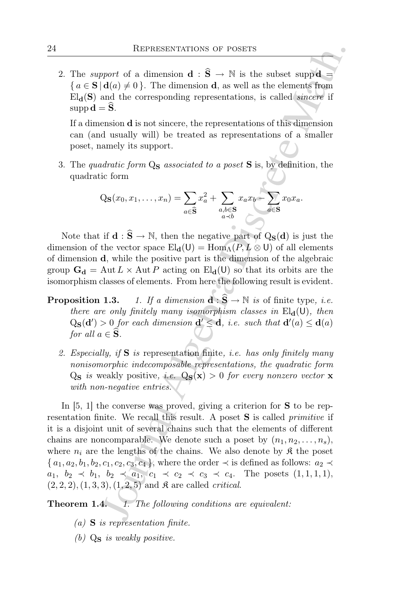2. The *support* of a dimension  $\mathbf{d} : \hat{\mathbf{S}} \to \mathbb{N}$  is the subset supp  $\mathbf{d} =$  ${a \in S \mid d(a) \neq 0}$ . The dimension **d**, as well as the elements from  $\text{El}_{d}(S)$  and the corresponding representations, is called *sincere* if  $supp \mathbf{d} = \mathbf{S}.$ 

If a dimension d is not sincere, the representations of this dimension can (and usually will) be treated as representations of a smaller poset, namely its support.

3. The quadratic form  $Q_S$  associated to a poset S is, by definition, the quadratic form

$$
Q_{\mathbf{S}}(x_0, x_1, \dots, x_n) = \sum_{a \in \widehat{\mathbf{S}}} x_a^2 + \sum_{\substack{a,b \in \mathbf{S} \\ a \prec b}} x_a x_b - \sum_{a \in \mathbf{S}} x_0 x_a.
$$

Note that if  $\mathbf{d} : \hat{\mathbf{S}} \to \mathbb{N}$ , then the negative part of  $Q_{\mathbf{S}}(\mathbf{d})$  is just the dimension of the vector space  $\text{El}_{d}(U) = \text{Hom}_{\Lambda}(P, L \otimes U)$  of all elements of dimension d, while the positive part is the dimension of the algebraic group  $G_d = \text{Aut } L \times \text{Aut } P$  acting on  $\text{El}_d(\mathsf{U})$  so that its orbits are the isomorphism classes of elements. From here the following result is evident.

- **Proposition 1.3.** 1. If a dimension  $\mathbf{d} : \mathbf{S} \to \mathbb{N}$  is of finite type, i.e. there are only finitely many isomorphism classes in  $El_{d}(U)$ , then  $Q_{\mathbf{S}}(\mathbf{d}') > 0$  for each dimension  $\mathbf{d}' \leq \mathbf{d}$ , i.e. such that  $\mathbf{d}'(a) \leq \mathbf{d}(a)$ for all  $a \in \mathbf{S}$ .
	- 2. Especially, if  $S$  is representation finite, *i.e.* has only finitely many nonisomorphic indecomposable representations, the quadratic form  $Q_S$  is weakly positive, i.e.  $Q_S(x) > 0$  for every nonzero vector x with non-negative entries.

REPRESENTATIONS OF POSETS<br>
mort of a dimension d:  $\hat{S} \rightarrow N$  is the subset supper<br>
and the corresponding representations, is called sincere if<br>
ald  $(\hat{z}, \hat{z})$ . The dimension d, as well as the elements from<br>
and the corr In  $[5, 1]$  the converse was proved, giving a criterion for **S** to be representation finite. We recall this result. A poset **S** is called *primitive* if it is a disjoint unit of several chains such that the elements of different chains are noncomparable. We denote such a poset by  $(n_1, n_2, \ldots, n_s)$ , where  $n_i$  are the lengths of the chains. We also denote by  $\mathfrak{K}$  the poset  $\{a_1, a_2, b_1, b_2, c_1, c_2, c_3, c_4\}$ , where the order  $\prec$  is defined as follows:  $a_2 \prec$  $a_1, b_2 \prec b_1, b_2 \prec a_1, c_1 \prec c_2 \prec c_3 \prec c_4$ . The posets  $(1,1,1,1),$  $(2, 2, 2), (1, 3, 3), (1, 2, 5)$  and  $\mathfrak K$  are called *critical*.

Theorem 1.4. 1. The following conditions are equivalent:

- $(a)$  **S** is representation finite.
- (b)  $Q_S$  is weakly positive.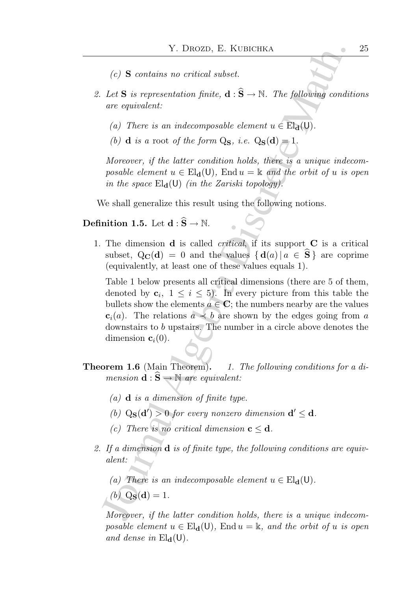- $(c)$  **S** contains no critical subset.
- 2. Let **S** is representation finite,  $\mathbf{d} : \hat{\mathbf{S}} \to \mathbb{N}$ . The following conditions are equivalent:
	- (a) There is an indecomposable element  $u \in El_{d}(U)$ .
	- (b) **d** is a root of the form  $Q_S$ , i.e.  $Q_S(d) = 1$ .

Moreover, if the latter condition holds, there is a unique indecomposable element  $u \in El_{d}(U)$ , End  $u = \Bbbk$  and the orbit of u is open in the space  $\text{El}_{d}(U)$  (in the Zariski topology).

We shall generalize this result using the following notions.

# **Definition 1.5.** Let  $\mathbf{d} : \widehat{S} \to \mathbb{N}$ .

1. The dimension  $\bf d$  is called *critical*, if its support  $\bf C$  is a critical subset,  $Q_{\mathbf{C}}(\mathbf{d}) = 0$  and the values  $\{ \mathbf{d}(a) | a \in \mathbf{S} \}$  are coprime (equivalently, at least one of these values equals 1).

Y. DROZD, E. KUBICHKA<br>
(c) S contains no critical subset.<br>
Let S is representation finite,  $d : \hat{S} \rightarrow N$ . The following condit<br>
are equivalent:<br>
(a) There is an indecomposable element  $u \in Fl_a(U)$ .<br>
(b) d is a root of the for Table 1 below presents all critical dimensions (there are 5 of them, denoted by  $c_i$ ,  $1 \leq i \leq 5$ ). In every picture from this table the bullets show the elements  $a \in \mathbb{C}$ ; the numbers nearby are the values  $c_i(a)$ . The relations  $a \prec b$  are shown by the edges going from a downstairs to b upstairs. The number in a circle above denotes the dimension  $c_i(0)$ .

- **Theorem 1.6** (Main Theorem). 1. The following conditions for a dimension  $\mathbf{d} : \mathbf{\hat{S}} \to \mathbb{N}$  are equivalent:
	- (a)  $\bf{d}$  is a dimension of finite type.
	- (b)  $Q_S(d') > 0$  for every nonzero dimension  $d' \leq d$ .
	- (c) There is no critical dimension  $c \leq d$ .
	- 2. If a dimension  $\bf{d}$  is of finite type, the following conditions are equivalent:

(a) There is an indecomposable element  $u \in El_{d}(U)$ .

 $(b)$  Q<sub>S</sub>(d) = 1.

Moreover, if the latter condition holds, there is a unique indecomposable element  $u \in El_{d}(U)$ , End  $u = \mathbb{k}$ , and the orbit of u is open and dense in  $\mathrm{El}_{d}(U)$ .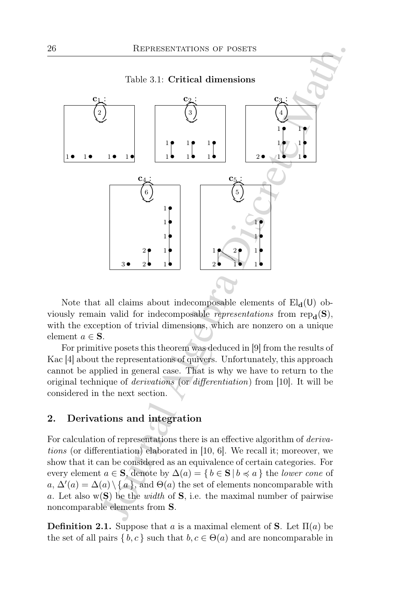

Note that all claims about indecomposable elements of  $\text{El}_{d}(U)$  obviously remain valid for indecomposable representations from  $rep_{d}(S)$ , with the exception of trivial dimensions, which are nonzero on a unique element  $a \in \mathbf{S}$ .

For primitive posets this theorem was deduced in [9] from the results of Kac [4] about the representations of quivers. Unfortunately, this approach cannot be applied in general case. That is why we have to return to the original technique of derivations (or differentiation) from [10]. It will be considered in the next section.

# 2. Derivations and integration

For calculation of representations there is an effective algorithm of *deriva*tions (or differentiation) elaborated in [10, 6]. We recall it; moreover, we show that it can be considered as an equivalence of certain categories. For every element  $a \in \mathbf{S}$ , denote by  $\Delta(a) = \{ b \in \mathbf{S} \mid b \preccurlyeq a \}$  the lower cone of  $a, \Delta'(a) = \Delta(a) \setminus \{a\}$ , and  $\Theta(a)$  the set of elements noncomparable with a. Let also  $w(S)$  be the *width* of S, i.e. the maximal number of pairwise noncomparable elements from S.

**Definition 2.1.** Suppose that a is a maximal element of **S**. Let  $\Pi(a)$  be the set of all pairs  $\{b, c\}$  such that  $b, c \in \Theta(a)$  and are noncomparable in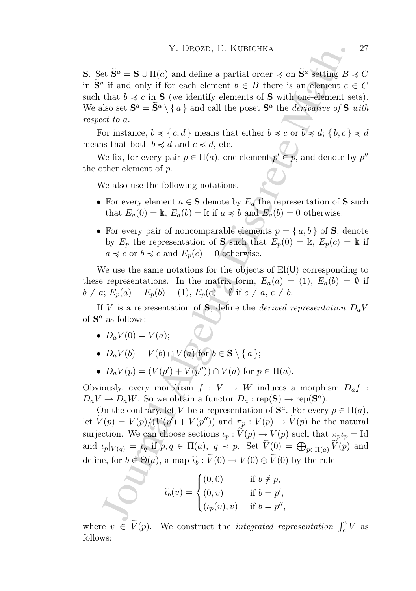**S**. Set  $\widetilde{\mathbf{S}}^a = \mathbf{S} \cup \Pi(a)$  and define a partial order  $\preccurlyeq$  on  $\widetilde{\mathbf{S}}^a$  setting  $B \preccurlyeq C$ in  $\widetilde{\mathbf{S}}^a$  if and only if for each element  $b \in B$  there is an element  $c \in C$ such that  $b \preccurlyeq c$  in **S** (we identify elements of **S** with one-element sets). We also set  $S^a = \tilde{S}^a \setminus \{a\}$  and call the poset  $S^a$  the *derivative of*  $S$  *with* respect to a.

For instance,  $b \preccurlyeq \{c, d\}$  means that either  $b \preccurlyeq c$  or  $b \preccurlyeq d$ ;  $\{b, c\} \preccurlyeq d$ means that both  $b \preccurlyeq d$  and  $c \preccurlyeq d$ , etc.

We fix, for every pair  $p \in \Pi(a)$ , one element  $p' \in p$ , and denote by  $p''$ the other element of p.

We also use the following notations.

- For every element  $a \in \mathbf{S}$  denote by  $E_a$  the representation of S such that  $E_a(0) = \mathbb{k}$ ,  $E_a(b) = \mathbb{k}$  if  $a \preccurlyeq b$  and  $E_a(b) = 0$  otherwise.
- For every pair of noncomparable elements  $p = \{a, b\}$  of **S**, denote by  $E_p$  the representation of **S** such that  $E_p(0) = \mathbb{k}$ ,  $E_p(c) = \mathbb{k}$  if  $a \preccurlyeq c$  or  $b \preccurlyeq c$  and  $E_p(c) = 0$  otherwise.

We use the same notations for the objects of  $E(U)$  corresponding to these representations. In the matrix form,  $E_a(a) = (1)$ ,  $E_a(b) = \emptyset$  if  $b \neq a$ ;  $E_p(a) = E_p(b) = (1)$ ,  $E_p(c) = \emptyset$  if  $c \neq a, c \neq b$ .

If V is a representation of S, define the *derived representation*  $D_a V$ of  $S^a$  as follows:

- $D_a V(0) = V(a);$
- $D_a V(b) = V(b) \cap V(a)$  for  $b \in \mathbf{S} \setminus \{a\};$
- $D_a V(p) = (V(p') + V(p'')) \cap V(a)$  for  $p \in \Pi(a)$ .

Obviously, every morphism  $f: V \to W$  induces a morphism  $D_a f$ :  $D_a V \to D_a W$ . So we obtain a functor  $D_a : \text{rep}(\mathbf{S}) \to \text{rep}(\mathbf{S}^a)$ .

Y. DROZD, E. KUBICHKA<br>
et  $\tilde{\mathbf{S}}^a = \mathbf{S} \cup \Pi(a)$  and define a partial order  $\preccurlyeq$  on  $\tilde{\mathbf{S}}^a$  setting  $B$ <br>
<sup>2</sup> if and only if for each element  $b \in B$  there is an element  $c$ <br>
that  $b \preccurlyeq c$  in  $\mathbf{S}$  (we id On the contrary, let V be a representation of  $\mathbf{S}^a$ . For every  $p \in \Pi(a)$ , let  $\widetilde{V}(p) = V(p)/(V(p'') + V(p''))$  and  $\pi_p : V(p) \to \widetilde{V}(p)$  be the natural surjection. We can choose sections  $\iota_p : \widetilde{V}(p) \to V(p)$  such that  $\pi_p \iota_p = \mathrm{Id}$ and  $\iota_p|_{V(q)} = \iota_q$  if  $p, q \in \Pi(a), q \prec p$ . Set  $\widetilde{V}(0) = \bigoplus_{p \in \Pi(a)} \widetilde{V}(p)$  and define, for  $b \in \Theta(a)$ , a map  $\tilde{t}_b : \tilde{V}(0) \to V(0) \oplus \tilde{V}(0)$  by the rule

$$
\widetilde{\iota}_b(v) = \begin{cases}\n(0,0) & \text{if } b \notin p, \\
(0,v) & \text{if } b = p', \\
(\iota_p(v), v) & \text{if } b = p'',\n\end{cases}
$$

where  $v \in \widetilde{V}(p)$ . We construct the *integrated representation*  $\int_a^i V$  as follows: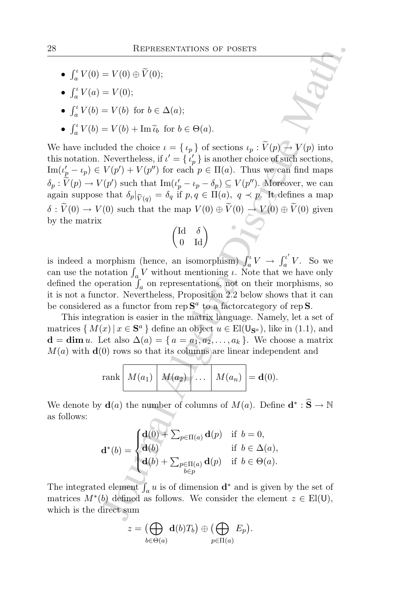- $\int_a^t V(0) = V(0) \oplus \widetilde{V}(0);$
- $\int_{a}^{t} V(a) = V(0);$
- $\int_a^b V(b) = V(b)$  for  $b \in \Delta(a)$ ;
- $\int_a^b V(b) = V(b) + \text{Im } \tilde{u}_b$  for  $b \in \Theta(a)$ .

REFRESENTATIONS OF POSETS<br>
=  $V(0)$  (i):<br>
=  $V(0)$ ;<br>
=  $V(b)$  for  $b \in \Delta(a)$ ;<br>
=  $V(b) + \text{Im } \tilde{v}_0$  for  $b \in \Theta(a)$ .<br>
and the choice  $\iota = {\iota_p}_0$  of sections  $\iota_p : \tilde{V}(p) \rightarrow V(p)$  into<br>
Newertheless, if  $\iota' = {\iota_p}_0$  is anothe We have included the choice  $\iota = {\{\iota_p\}}$  of sections  $\iota_p : \widetilde{V}(p) \to V(p)$  into this notation. Nevertheless, if  $\iota' = \{ \iota'_p \}$  is another choice of such sections,  $\text{Im}(t_p'-t_p) \in V(p') + V(p'')$  for each  $p \in \Pi(a)$ . Thus we can find maps  $\delta_p: V(p) \to V(p')$  such that  $\text{Im}(\iota_p' - \iota_p - \delta_p) \subseteq V(p'')$ . Moreover, we can again suppose that  $\delta_p|_{\widetilde{V}(q)} = \delta_q$  if  $p, q \in \Pi(a)$ ,  $q \prec p$ . It defines a map  $\delta : \widetilde{V}(0) \to V(0)$  such that the map  $V(0) \oplus \widetilde{V}(0) \to V(0) \oplus \widetilde{V}(0)$  given by the matrix

$$
\begin{pmatrix} \mathrm{Id} & \delta \\ 0 & \mathrm{Id} \end{pmatrix}
$$

is indeed a morphism (hence, an isomorphism)  $\int_a^b V \to \int_a^{b'} v$  $\frac{u}{a}$  V. So we can use the notation  $\int_a V$  without mentioning  $\iota$ . Note that we have only defined the operation  $\int_a$  on representations, not on their morphisms, so it is not a functor. Nevertheless, Proposition 2.2 below shows that it can be considered as a functor from rep  $S^a$  to a factorcategory of rep S.

This integration is easier in the matrix language. Namely, let a set of matrices  $\{M(x) | x \in S^a\}$  define an object  $u \in El(\mathsf{U}_{S^a})$ , like in (1.1), and  $\mathbf{d} = \dim u$ . Let also  $\Delta(a) = \{a = a_1, a_2, \ldots, a_k\}$ . We choose a matrix  $M(a)$  with  $\mathbf{d}(0)$  rows so that its columns are linear independent and

$$
\operatorname{rank}\left[M(a_1)\middle|M(a_2)\middle| \dots \middle|M(a_n)\right] = \mathbf{d}(0).
$$

We denote by  $\mathbf{d}(a)$  the number of columns of  $M(a)$ . Define  $\mathbf{d}^* : \widehat{S} \to \mathbb{N}$ as follows:

$$
\mathbf{d}^*(b) = \begin{cases} \mathbf{d}(0) + \sum_{p \in \Pi(a)} \mathbf{d}(p) & \text{if } b = 0, \\ \mathbf{d}(b) & \text{if } b \in \Delta(a), \\ \mathbf{d}(b) + \sum_{\substack{p \in \Pi(a) \\ b \in p}} \mathbf{d}(p) & \text{if } b \in \Theta(a). \end{cases}
$$

The integrated element  $\int_a u$  is of dimension  $\mathbf{d}^*$  and is given by the set of matrices  $M^*(b)$  defined as follows. We consider the element  $z \in El(\mathsf{U}),$ which is the direct sum

$$
z = \bigoplus_{b \in \Theta(a)} \mathbf{d}(b)T_b \big) \oplus \bigoplus_{p \in \Pi(a)} E_p \big).
$$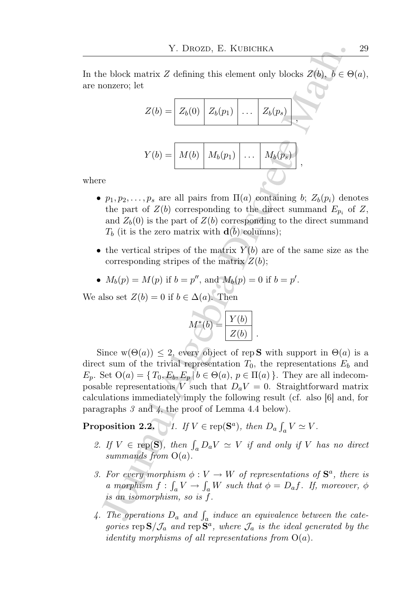In the block matrix Z defining this element only blocks  $Z(b)$ ,  $b \in \Theta(a)$ , are nonzero; let

$$
Z(b) = Z_b(0) \mid Z_b(p_1) \mid \ldots \mid Z_b(p_s) \mid,
$$
  

$$
Y(b) = M(b) \mid M_b(p_1) \mid \ldots \mid M_b(p_s) \mid,
$$

where

- $p_1, p_2, \ldots, p_s$  are all pairs from  $\Pi(a)$  containing b;  $Z_b(p_i)$  denotes the part of  $Z(b)$  corresponding to the direct summand  $E_{p_i}$  of  $Z$ , and  $Z_b(0)$  is the part of  $Z(b)$  corresponding to the direct summand  $T_b$  (it is the zero matrix with  $\mathbf{d}(b)$  columns);
- the vertical stripes of the matrix  $Y(b)$  are of the same size as the corresponding stripes of the matrix  $Z(b)$ ;

• 
$$
M_b(p) = M(p)
$$
 if  $b = p''$ , and  $M_b(p) = 0$  if  $b = p'$ .

We also set  $Z(b) = 0$  if  $b \in \Delta(a)$ . Then

$$
M^*(b) = \boxed{\frac{Y(b)}{Z(b)}}.
$$

Y. DROZD, E. KUBICHKA<br>
algebra Discreption (a) blocks  $Z(b)$ ,  $b \in \Theta$ <br>
conzero; let<br>  $Z(b) = \begin{bmatrix} Z_b(0) & Z_b(p_1) & \cdots & Z_b(p_s) \end{bmatrix}$ <br>  $Y(b) = \begin{bmatrix} M(b) & M_b(p_1) & \cdots & M_b(p_s) \end{bmatrix}$ ,<br>  $Y(b) = \begin{bmatrix} M(b) & M_b(p_1) & \cdots & M_b(p_s) \end{bmatrix}$ ,<br>
we<br>
the part Since  $w(\Theta(a)) \leq 2$ , every object of rep **S** with support in  $\Theta(a)$  is a direct sum of the trivial representation  $T_0$ , the representations  $E_b$  and  $E_p$ . Set  $O(a) = \{T_0, E_b, E_p \mid b \in \Theta(a), p \in \Pi(a)\}\.$  They are all indecomposable representations V such that  $D_aV = 0$ . Straightforward matrix calculations immediately imply the following result (cf. also [6] and, for paragraphs 3 and 4, the proof of Lemma 4.4 below).

**Proposition 2.2.** 1. If  $V \in \text{rep}(\mathbf{S}^a)$ , then  $D_a \int_a V \simeq V$ .

- 2. If  $V \in \text{rep}(S)$ , then  $\int_a D_a V \simeq V$  if and only if V has no direct summands from  $O(a)$ .
- 3. For every morphism  $\phi: V \to W$  of representations of  $S^a$ , there is a morphism  $f: \int_a V \to \int_a W$  such that  $\phi = D_a f$ . If, moreover,  $\phi$ is an isomorphism, so is f.
- 4. The operations  $D_a$  and  $\int_a$  induce an equivalence between the categories rep  $\mathbf{S}/\mathcal{J}_a$  and rep  $\mathbf{S}^a$ , where  $\mathcal{J}_a$  is the ideal generated by the *identity morphisms of all representations from*  $O(a)$ .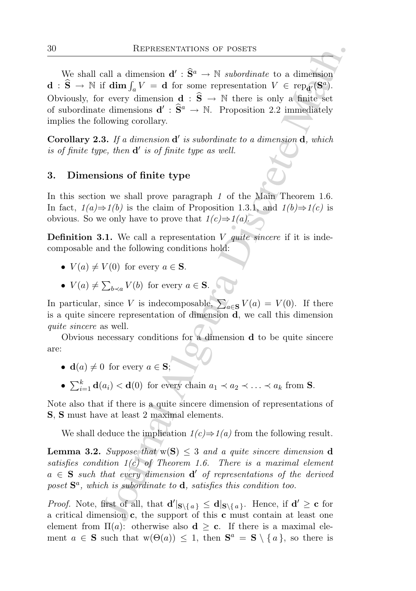REPRESENTATIONS OF POSETS<br>
call a dimension  $d' : \tilde{S}^a \to \mathbb{N}$  subordinate to a dimension<br>
ff dim  $\int_a V = d$  for some representation  $V \in \text{rep}_d(\mathbb{S}^a)$ <br>
recever dimension  $d : \tilde{S}^a \to \mathbb{N}$ . Perhere is only a finite We shall call a dimension  $\mathbf{d}' : \hat{\mathbf{S}}^a \to \mathbb{N}$  subordinate to a dimension  $\mathbf{d}$  :  $\widehat{\mathbf{S}} \to \mathbb{N}$  if  $\dim \int_a V = \mathbf{d}$  for some representation  $V \in \text{rep}_{\mathbf{d}'}(\mathbf{S}^a)$ . Obviously, for every dimension  $\mathbf{d} : \hat{\mathbf{S}} \to \mathbb{N}$  there is only a finite set of subordinate dimensions  $\mathbf{d}' : \hat{\mathbf{S}}^a \to \mathbb{N}$ . Proposition 2.2 immediately implies the following corollary.

Corollary 2.3. If a dimension  $d'$  is subordinate to a dimension  $d$ , which is of finite type, then  $\mathbf{d}'$  is of finite type as well.

## 3. Dimensions of finite type

In this section we shall prove paragraph 1 of the Main Theorem 1.6. In fact,  $1(a) \Rightarrow 1(b)$  is the claim of Proposition 1.3.1, and  $1(b) \Rightarrow 1(c)$  is obvious. So we only have to prove that  $1(c) \Rightarrow 1(a)$ .

**Definition 3.1.** We call a representation V quite sincere if it is indecomposable and the following conditions hold:

- $V(a) \neq V(0)$  for every  $a \in S$ .
- $V(a) \neq \sum_{b \prec a} V(b)$  for every  $a \in \mathbf{S}$ .

In particular, since V is indecomposable,  $\sum_{a \in S} V(a) = V(0)$ . If there is a quite sincere representation of dimension d, we call this dimension quite sincere as well.

Obvious necessary conditions for a dimension d to be quite sincere are:

- $\mathbf{d}(a) \neq 0$  for every  $a \in \mathbf{S}$ ;
- $\sum_{i=1}^{k} \mathbf{d}(a_i) < \mathbf{d}(0)$  for every chain  $a_1 \prec a_2 \prec \ldots \prec a_k$  from **S**.

Note also that if there is a quite sincere dimension of representations of S, S must have at least 2 maximal elements.

We shall deduce the implication  $1(c) \Rightarrow 1(a)$  from the following result.

**Lemma 3.2.** Suppose that  $w(S) \leq 3$  and a quite sincere dimension d satisfies condition  $1(c)$  of Theorem 1.6. There is a maximal element  $a \in S$  such that every dimension  $d'$  of representations of the derived poset  $S^a$ , which is subordinate to  $d$ , satisfies this condition too.

*Proof.* Note, first of all, that  $d'|_{S\setminus\{a\}} \le d|_{S\setminus\{a\}}$ . Hence, if  $d' \ge c$  for a critical dimension c, the support of this c must contain at least one element from  $\Pi(a)$ : otherwise also  $d \geq c$ . If there is a maximal element  $a \in S$  such that  $w(\Theta(a)) \leq 1$ , then  $S^a = S \setminus \{a\}$ , so there is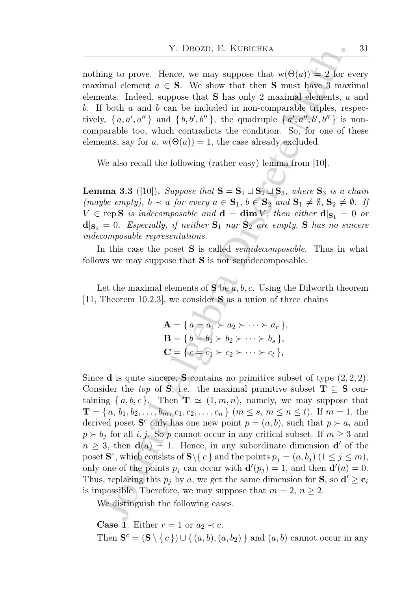nothing to prove. Hence, we may suppose that  $w(\Theta(a)) = 2$  for every maximal element  $a \in S$ . We show that then S must have 3 maximal elements. Indeed, suppose that S has only 2 maximal elements, a and  $b$ . If both  $a$  and  $b$  can be included in non-comparable triples, respectively,  $\{a, a', a''\}$  and  $\{b, b', b''\}$ , the quadruple  $\{a', a'', b', b''\}$  is noncomparable too, which contradicts the condition. So, for one of these elements, say for a,  $w(\Theta(a)) = 1$ , the case already excluded.

We also recall the following (rather easy) lemma from [10].

**Lemma 3.3** ([10]). Suppose that  $S = S_1 \sqcup S_2 \sqcup S_3$ , where  $S_3$  is a chain (maybe empty),  $b \prec a$  for every  $a \in \mathbf{S}_1$ ,  $b \in \mathbf{S}_2$  and  $\mathbf{S}_1 \neq \emptyset$ ,  $\mathbf{S}_2 \neq \emptyset$ . If  $V \in \text{rep } S$  is indecomposable and  $d = \dim V$ , then either  $d|_{S_1} = 0$  or  $d|_{S_2} = 0$ . Especially, if neither  $S_1$  nor  $S_2$  are empty, S has no sincere indecomposable representations.

In this case the poset **S** is called *semidecomposable*. Thus in what follows we may suppose that  $S$  is not semidecomposable.

Let the maximal elements of **S** be  $\overline{a}$ ,  $\overline{b}$ ,  $\overline{c}$ . Using the Dilworth theorem [11, Theorem 10.2.3], we consider  $S$  as a union of three chains

$$
\mathbf{A} = \{ a = a_1 \succ a_2 \succ \cdots \succ a_r \},
$$
  
\n
$$
\mathbf{B} = \{ b = b_1 \succ b_2 \succ \cdots \succ b_s \},
$$
  
\n
$$
\mathbf{C} = \{ c = c_1 \succ c_2 \succ \cdots \succ c_t \},
$$

Y. DROZD, E. KUBICHKA<br>
img to prove. Hence, we may suppose that  $w(\Theta(a)) = 2$  for evant<br>
mind element  $a \in S$ . We show that then S must have 3 maximal<br>
eraths. Indeed, suppose that S has only 2 maximal elements, a<br>
f both a a Since **d** is quite sincere, **S** contains no primitive subset of type  $(2, 2, 2)$ . Consider the top of S, i.e. the maximal primitive subset  $T \subseteq S$  containing  $\{a, b, c\}$ . Then  $\mathbf{T} \simeq (1, m, n)$ , namely, we may suppose that  $\mathbf{T} = \{a, b_1, b_2, \ldots, b_m, c_1, c_2, \ldots, c_n\}$   $(m \leq s, m \leq n \leq t)$ . If  $m = 1$ , the derived poset  $S^c$  only has one new point  $p = (a, b)$ , such that  $p \succ a_i$  and  $p \succ b_i$  for all i, j. So p cannot occur in any critical subset. If  $m \geq 3$  and  $n \geq 3$ , then  $\mathbf{d}(a) = 1$ . Hence, in any subordinate dimension  $\mathbf{d}'$  of the poset  $\mathbf{S}^c$ , which consists of  $\mathbf{S} \setminus \{c\}$  and the points  $p_j = (a, b_j)$   $(1 \le j \le m)$ , only one of the points  $p_j$  can occur with  $\mathbf{d}'(p_j) = 1$ , and then  $\mathbf{d}'(a) = 0$ . Thus, replacing this  $p_j$  by a, we get the same dimension for **S**, so  $\mathbf{d}' \ge \mathbf{c}_i$ is impossible. Therefore, we may suppose that  $m = 2$ ,  $n \geq 2$ .

We distinguish the following cases.

**Case 1.** Either  $r = 1$  or  $a_2 \prec c$ . Then  $\mathbf{S}^c = (\mathbf{S} \setminus \{c\}) \cup \{(a, b), (a, b_2)\}\$ and  $(a, b)$  cannot occur in any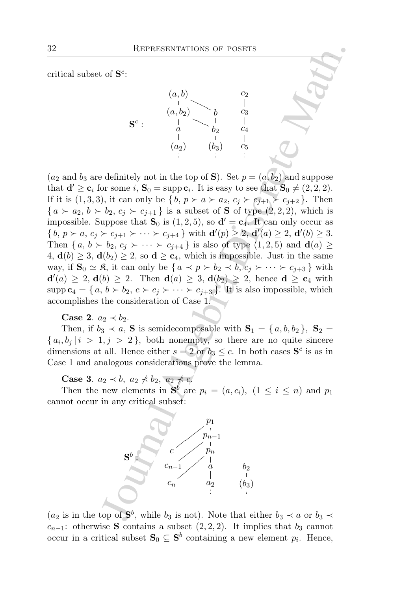critical subset of  $S^c$ :



REPRESENTATIONS OF POSETS<br>
of S<sup>c</sup>:<br>
(a, b)<br>  $\begin{pmatrix} a_1b_1 \ b_2 \ c_1 \ d_2 \end{pmatrix}$  b  $\begin{pmatrix} 2 \\ -1 \\ 0 \\ 0 \end{pmatrix}$ <br>
S<sup>c</sup>:<br>  $\begin{pmatrix} a_1b_2 \ b_1 \ c_2 \end{pmatrix}$ <br>  $\begin{pmatrix} a_2b_1 \ b_2 \ c_1 \end{pmatrix}$ <br>  $\begin{pmatrix} a_1b_2 \ b_1 \ c_2 \end{pmatrix}$ <br>  $\begin{pmatrix} a_2b_1 \ c_2$  $(a_2 \text{ and } b_3 \text{ are definitely not in the top of } S)$ . Set  $p = (a, b_2)$  and suppose that  $\mathbf{d}' \ge \mathbf{c}_i$  for some  $i, \mathbf{S}_0 = \text{supp } \mathbf{c}_i$ . It is easy to see that  $\mathbf{S}_0 \ne (2, 2, 2)$ . If it is  $(1,3,3)$ , it can only be  $\{b, p \succ a \succ a_2, c_j \succ c_{j+1} \succ c_{j+2}\}\.$  Then  $\{a \succ a_2, b \succ b_2, c_i \succ c_{i+1}\}$  is a subset of **S** of type  $(2, 2, 2)$ , which is impossible. Suppose that  $S_0$  is  $(1, 2, 5)$ , so  $\mathbf{d}' = \mathbf{c}_4$ . It can only occur as  $\{b, p \succ a, c_j \succ c_{j+1} \succ \cdots \succ c_{j+4}\}\$  with  $\mathbf{d}'(p) \geq 2, \mathbf{d}'(a) \geq 2, \mathbf{d}'(b) \geq 3.$ Then  $\{a, b \succ b_2, c_i \succ \cdots \succ c_{i+4}\}$  is also of type  $(1, 2, 5)$  and  $\mathbf{d}(a) \geq$ 4,  $\mathbf{d}(b) \geq 3$ ,  $\mathbf{d}(b_2) \geq 2$ , so  $\mathbf{d} \geq \mathbf{c}_4$ , which is impossible. Just in the same way, if  $\mathbf{S}_0 \simeq \mathfrak{K}$ , it can only be  $\{a \prec p \succ b_2 \prec b, c_i \succ \cdots \succ c_{i+3}\}\$  with  $d'(a) \geq 2$ ,  $d(b) \geq 2$ . Then  $d(a) \geq 3$ ,  $d(b_2) \geq 2$ , hence  $d \geq c_4$  with  $\text{supp } c_4 = \{a, b \succ b_2, c \succ c_j \succ \cdots \succ c_{j+3} \}.$  It is also impossible, which accomplishes the consideration of Case 1.

Case 2.  $a_2 \prec b_2$ .

Then, if  $b_3 \prec a$ , **S** is semidecomposable with  $S_1 = \{a, b, b_2\}$ ,  $S_2 =$  ${a_i, b_j \mid i > 1, j > 2}$ , both nonempty, so there are no quite sincere dimensions at all. Hence either  $s = 2$  or  $b_3 \leq c$ . In both cases  $S<sup>c</sup>$  is as in Case 1 and analogous considerations prove the lemma.

Case 3.  $a_2 \prec b$ ,  $a_2 \not\prec b_2$ ,  $a_2 \not\prec c$ .

Then the new elements in  $S^b$  are  $p_i = (a, c_i)$ ,  $(1 \leq i \leq n)$  and  $p_1$ cannot occur in any critical subset:



 $(a_2$  is in the top of  $S^b$ , while  $b_3$  is not). Note that either  $b_3 \prec a$  or  $b_3 \prec a$  $c_{n-1}$ : otherwise S contains a subset  $(2, 2, 2)$ . It implies that  $b_3$  cannot occur in a critical subset  $S_0 \subseteq S^b$  containing a new element  $p_i$ . Hence,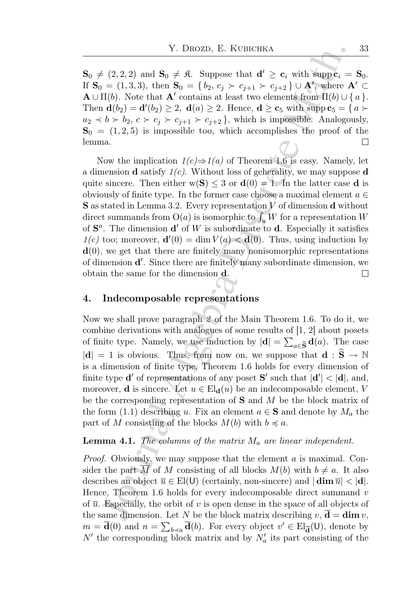$\mathbf{S}_0 \neq (2, 2, 2)$  and  $\mathbf{S}_0 \neq \mathbf{R}$ . Suppose that  $\mathbf{d}' \geq \mathbf{c}_i$  with supp $\mathbf{c}_i = \mathbf{S}_0$ . If  $S_0 = (1, 3, 3)$ , then  $S_0 = \{b_2, c_j \succ c_{j+1} \succ c_{j+2}\} \cup A'$ , where  $A' \subset$  $\mathbf{A} \cup \Pi(b)$ . Note that  $\mathbf{A}'$  contains at least two elements from  $\Pi(b) \cup \{a\}$ . Then  $\mathbf{d}(b_2) = \mathbf{d}'(b_2) \geq 2$ ,  $\mathbf{d}(a) \geq 2$ . Hence,  $\mathbf{d} \geq \mathbf{c}_5$  with supp  $\mathbf{c}_5 = \{a \succ a$  $a_2 \prec b \succ b_2, c \succ c_i \succ c_{i+1} \succ c_{i+2}$ , which is impossible. Analogously,  $S_0 = (1, 2, 5)$  is impossible too, which accomplishes the proof of the lemma.  $\Box$ 

Y. DROZD, E. KUBICHKA<br>  $(2,2,2)$  and  $S_0 \neq \emptyset$ . Suppose that  $d' \geq c_i$  with suppe $i = (1,3,3)$ , then  $S_0 = \{b_2, c_j > c_{i+1} > c_{i+2} \}$ ,  $\forall j_1 \geq j_1 \geq k_j$ ,  $\forall j_2 \leq j_1 \geq k_j$ ,  $\forall j_2 \geq k_j \leq k_j > k_j$ ,  $c \geq c_j \geq k_j$ ,  $c \geq c_j \geq k$ Now the implication  $1(c) \Rightarrow 1(a)$  of Theorem 1.6 is easy. Namely, let a dimension **d** satisfy  $1(c)$ . Without loss of geherality, we may suppose **d** quite sincere. Then either  $w(S) \leq 3$  or  $d(0) = 1$ . In the latter case d is obviously of finite type. In the former case choose a maximal element  $a \in \mathbb{R}$ **S** as stated in Lemma 3.2. Every representation  $V$  of dimension **d** without direct summands from  $O(a)$  is isomorphic to  $\int_a^b W$  for a representation  $W$ of  $S^a$ . The dimension  $\mathbf{d}'$  of W is subordinate to  $\mathbf{d}$ . Especially it satisfies  $1(c)$  too; moreover,  $\mathbf{d}'(0) = \dim V(a) < \mathbf{d}(0)$ . Thus, using induction by **, we get that there are finitely many nonisomorphic representations** of dimension **d'**. Since there are finitely many subordinate dimension, we obtain the same for the dimension d.  $\Box$ 

### 4. Indecomposable representations

Now we shall prove paragraph 2 of the Main Theorem 1.6. To do it, we combine derivations with analogues of some results of [1, 2] about posets of finite type. Namely, we use induction by  $|\mathbf{d}| = \sum_{a \in \hat{\mathbf{S}}} \mathbf{d}(a)$ . The case  $|d| = 1$  is obvious. Thus, from now on, we suppose that  $d : \hat{S} \to \mathbb{N}$ is a dimension of finite type, Theorem 1.6 holds for every dimension of finite type **d'** of representations of any poset **S'** such that  $|\mathbf{d}'| < |\mathbf{d}|$ , and, moreover, **d** is sincere. Let  $u \in El_{d}(u)$  be an indecomposable element, V be the corresponding representation of  $S$  and  $M$  be the block matrix of the form (1.1) describing u. Fix an element  $a \in \mathbf{S}$  and denote by  $M_a$  the part of M consisting of the blocks  $M(b)$  with  $b \preccurlyeq a$ .

### **Lemma 4.1.** The columns of the matrix  $M_a$  are linear independent.

*Proof.* Obviously, we may suppose that the element  $\alpha$  is maximal. Consider the part  $\overline{M}$  of M consisting of all blocks  $M(b)$  with  $b \neq a$ . It also describes an object  $\overline{u} \in \text{El}(\mathsf{U})$  (certainly, non-sincere) and  $|\dim \overline{u}| < |\mathbf{d}|$ . Hence, Theorem 1.6 holds for every indecomposable direct summand  $v$ of  $\overline{u}$ . Especially, the orbit of v is open dense in the space of all objects of the same dimension. Let N be the block matrix describing  $v, d = \dim v$ ,  $m = \overline{\mathbf{d}}(0)$  and  $n = \sum_{b \prec a} \overline{\mathbf{d}}(b)$ . For every object  $v' \in \text{El}_{\overline{\mathbf{d}}}(U)$ , denote by  $N'$  the corresponding block matrix and by  $N'_a$  its part consisting of the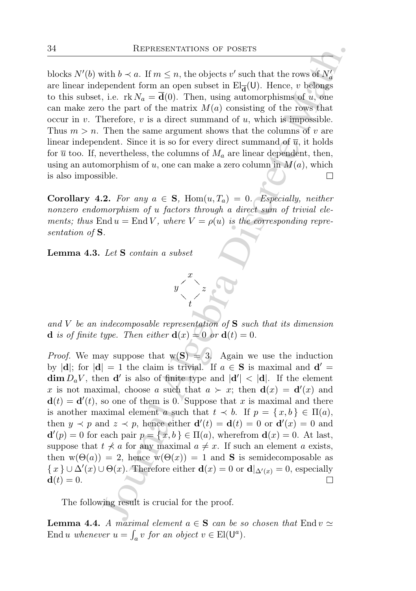blocks  $N'(b)$  with  $b \prec a$ . If  $m \leq n$ , the objects  $v'$  such that the rows of  $N'_a$ are linear independent form an open subset in  $\text{El}_{\overline{d}}(U)$ . Hence, v belongs to this subset, i.e.  $\text{rk } N_a = \overline{\mathbf{d}}(0)$ . Then, using automorphisms of u, one can make zero the part of the matrix  $M(a)$  consisting of the rows that occur in v. Therefore, v is a direct summand of u, which is impossible. Thus  $m > n$ . Then the same argument shows that the columns of v are linear independent. Since it is so for every direct summand of  $\overline{u}$ , it holds for  $\overline{u}$  too. If, nevertheless, the columns of  $M_a$  are linear dependent, then, using an automorphism of u, one can make a zero column in  $M(a)$ , which is also impossible.

Corollary 4.2. For any  $a \in S$ , Hom $(u, T_a) = 0$ . Especially, neither nonzero endomorphism of u factors through a direct sum of trivial elements; thus End  $u =$  End V, where  $V = \rho(u)$  is the corresponding representation of **S**.

Lemma 4.3. Let S contain a subset



and V be an indecomposable representation of  $S$  such that its dimension **d** is of finite type. Then either  $\mathbf{d}(x) = 0$  or  $\mathbf{d}(t) = 0$ .

REPRESENTATIONS OF POSETS<br>
with  $b \prec a$ . If  $m \le n$ , the objects  $v'$  such that the rows of  $N'_a$ <br>
ependent form an open subset in Eq.(U). Henc, it hence, it helps<br>
i, i.e. it  $N_a = \overline{\mathbf{d}}(0)$ . Then, using automorphisms of *Proof.* We may suppose that  $w(S) = 3$ . Again we use the induction by  $|\mathbf{d}|$ ; for  $|\mathbf{d}| = 1$  the claim is trivial. If  $a \in \mathbf{S}$  is maximal and  $\mathbf{d}' =$  $\dim D_a V$ , then **d'** is also of finite type and  $|d'| < |d|$ . If the element x is not maximal, choose a such that  $a \succ x$ ; then  $\mathbf{d}(x) = \mathbf{d}'(x)$  and  $\mathbf{d}(t) = \mathbf{d}'(t)$ , so one of them is 0. Suppose that x is maximal and there is another maximal element a such that  $t \prec b$ . If  $p = \{x, b\} \in \Pi(a)$ , then  $y \prec p$  and  $z \prec p$ , hence either  $\mathbf{d}'(t) = \mathbf{d}(t) = 0$  or  $\mathbf{d}'(x) = 0$  and  $\mathbf{d}'(p) = 0$  for each pair  $p = \{x, b\} \in \Pi(a)$ , wherefrom  $\mathbf{d}(x) = 0$ . At last, suppose that  $t \nless a$  for any maximal  $a \neq x$ . If such an element a exists, then  $w(\Theta(a)) = 2$ , hence  $w(\Theta(x)) = 1$  and **S** is semidecomposable as  $\{x\} \cup \Delta'(x) \cup \Theta(x)$ . Therefore either  $\mathbf{d}(x) = 0$  or  $\mathbf{d}|_{\Delta'(x)} = 0$ , especially  $\mathbf{d}(t) = 0.$ 

The following result is crucial for the proof.

**Lemma 4.4.** A maximal element  $a \in S$  can be so chosen that End  $v \simeq$ End *u* whenever  $u = \int_a v$  for an object  $v \in$  El( $\mathsf{U}^a$ ).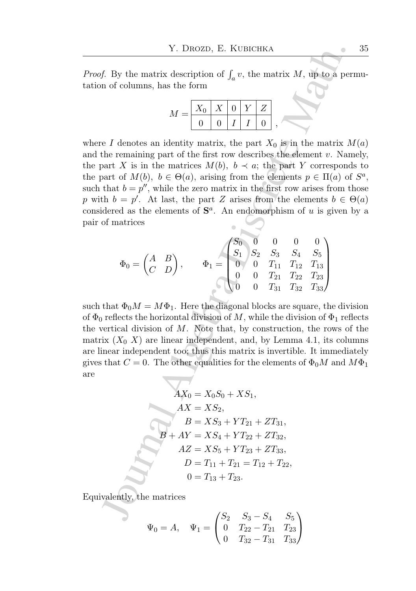*Proof.* By the matrix description of  $\int_a v$ , the matrix M, up to a permutation of columns, has the form

$$
M = \begin{array}{|c|c|c|c|c|} X_0 & X & 0 & Y & Z \\ \hline 0 & 0 & I & I & 0 \\ \end{array},
$$

Y. DROZD, E. KUBICHKA<br>
f. By the matrix description of  $\int_a v$ , the matrix  $M$ , up to a per<br>
n of columns, has the form<br>  $M = \frac{|X_0|}{0} \frac{|X|}{0} \frac{|X|}{1} \frac{|X_0|}{0}$ ,<br>  $\ell$  P denotes an identity matrix, the part  $X_0$  is in th where I denotes an identity matrix, the part  $X_0$  is in the matrix  $M(a)$ and the remaining part of the first row describes the element  $v$ . Namely, the part X is in the matrices  $M(b)$ ,  $b \prec a$ ; the part Y corresponds to the part of  $M(b)$ ,  $b \in \Theta(a)$ , arising from the elements  $p \in \Pi(a)$  of  $S^a$ , such that  $b = p''$ , while the zero matrix in the first row arises from those p with  $b = p'$ . At last, the part Z arises from the elements  $b \in \Theta(a)$ considered as the elements of  $S^a$ . An endomorphism of u is given by a pair of matrices

$$
\Phi_0 = \begin{pmatrix} A & B \\ C & D \end{pmatrix}, \qquad \Phi_1 = \begin{pmatrix} S_0 & 0 & 0 & 0 & 0 \\ S_1 & S_2 & S_3 & S_4 & S_5 \\ 0 & 0 & T_{11} & T_{12} & T_{13} \\ 0 & 0 & T_{21} & T_{22} & T_{23} \\ 0 & 0 & T_{31} & T_{32} & T_{33} \end{pmatrix}
$$

such that  $\Phi_0 M = M \Phi_1$ . Here the diagonal blocks are square, the division of  $\Phi_0$  reflects the horizontal division of M, while the division of  $\Phi_1$  reflects the vertical division of  $M$ . Note that, by construction, the rows of the matrix  $(X_0, X)$  are linear independent, and, by Lemma 4.1, its columns are linear independent too; thus this matrix is invertible. It immediately gives that  $C = 0$ . The other equalities for the elements of  $\Phi_0 M$  and  $M\Phi_1$ are

$$
AX_0 = X_0S_0 + XS_1,
$$
  
\n
$$
AX = XS_2,
$$
  
\n
$$
B = XS_3 + YT_{21} + ZT_{31},
$$
  
\n
$$
B + AY = XS_4 + YT_{22} + ZT_{32},
$$
  
\n
$$
AZ = XS_5 + YT_{23} + ZT_{33},
$$
  
\n
$$
D = T_{11} + T_{21} = T_{12} + T_{22},
$$
  
\n
$$
0 = T_{13} + T_{23}.
$$

Equivalently, the matrices

$$
\Psi_0 = A, \quad \Psi_1 = \begin{pmatrix} S_2 & S_3 - S_4 & S_5 \\ 0 & T_{22} - T_{21} & T_{23} \\ 0 & T_{32} - T_{31} & T_{33} \end{pmatrix}
$$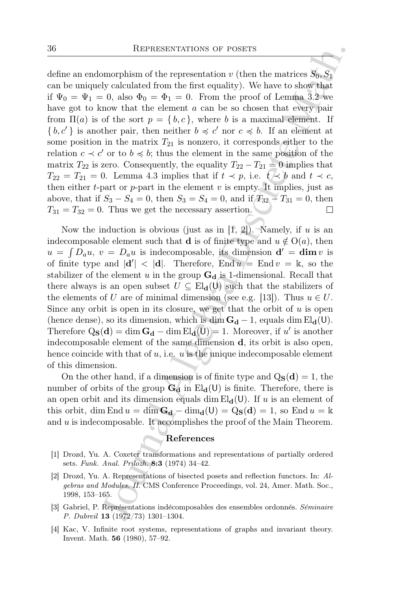REPRESENTATIONS OF POSETS<br>
21 morphism of the representation v (then the matrices  $S_0$ ,  $S_1$ <br>
y calculated from the first equality). We have to show that<br>
c 0, also  $\Phi_0 = \Phi_1 = 0$ . From the proof of Lemma 3.2 we<br>
now th define an endomorphism of the representation v (then the matrices  $S_0, S_1$ can be uniquely calculated from the first equality). We have to show that if  $\Psi_0 = \Psi_1 = 0$ , also  $\Phi_0 = \Phi_1 = 0$ . From the proof of Lemma 3.2 we have got to know that the element a can be so chosen that every pair from  $\Pi(a)$  is of the sort  $p = \{b, c\}$ , where b is a maximal element. If  ${b, c' }$  is another pair, then neither  $b \preccurlyeq c'$  nor  $c \preccurlyeq b$ . If an element at some position in the matrix  $T_{21}$  is nonzero, it corresponds either to the relation  $c \prec c'$  or to  $b \preccurlyeq b$ ; thus the element in the same position of the matrix  $T_{22}$  is zero. Consequently, the equality  $T_{22} - T_{21} = 0$  implies that  $T_{22} = T_{21} = 0$ . Lemma 4.3 implies that if  $t \prec p$ , i.e.  $t \prec b$  and  $t \prec c$ , then either t-part or  $p$ -part in the element  $v$  is empty. It implies, just as above, that if  $S_3 - S_4 = 0$ , then  $S_3 = S_4 = 0$ , and if  $T_{32} - T_{31} = 0$ , then  $T_{31} = T_{32} = 0$ . Thus we get the necessary assertion.

Now the induction is obvious (just as in [1, 2]). Namely, if u is an indecomposable element such that **d** is of finite type and  $u \notin O(a)$ , then  $u = \int D_a u$ ,  $v = D_a u$  is indecomposable, its dimension  $\mathbf{d}' = \dim v$  is of finite type and  $|\mathbf{d}'| < |\mathbf{d}|$ . Therefore, End  $u = \text{End } v = \mathbb{k}$ , so the stabilizer of the element u in the group  $G_d$  is 1-dimensional. Recall that there always is an open subset  $U \subseteq El_{d}(U)$  such that the stabilizers of the elements of U are of minimal dimension (see e.g. [13]). Thus  $u \in U$ . Since any orbit is open in its closure, we get that the orbit of  $u$  is open (hence dense), so its dimension, which is dim  $G_d - 1$ , equals dim  $El_d(U)$ . Therefore  $Q_S(d) = \dim G_d - \dim El_d(U) = 1$ . Moreover, if u' is another indecomposable element of the same dimension d, its orbit is also open, hence coincide with that of  $u$ , i.e.  $u$  is the unique indecomposable element of this dimension.

On the other hand, if a dimension is of finite type and  $Q_S(d) = 1$ , the number of orbits of the group  $G_d$  in  $El_d(U)$  is finite. Therefore, there is an open orbit and its dimension equals dim  $\text{El}_{d}(U)$ . If u is an element of this orbit, dim End  $u = \dim \mathbf{G}_{d} - \dim_{d}(U) = Q_{S}(d) = 1$ , so End  $u = \Bbbk$ and u is indecomposable. It accomplishes the proof of the Main Theorem.

#### References

- [1] Drozd, Yu. A. Coxeter transformations and representations of partially ordered sets. Funk. Anal. Prilozh. 8:3 (1974) 34–42.
- [2] Drozd, Yu. A. Representations of bisected posets and reflection functors. In: Algebras and Modules. II. CMS Conference Proceedings, vol. 24, Amer. Math. Soc., 1998, 153–165.
- [3] Gabriel, P. Représentations indécomposables des ensembles ordonnés. Séminaire P. Dubreil 13 (1972/73) 1301–1304.
- [4] Kac, V. Infinite root systems, representations of graphs and invariant theory. Invent. Math. 56 (1980), 57–92.